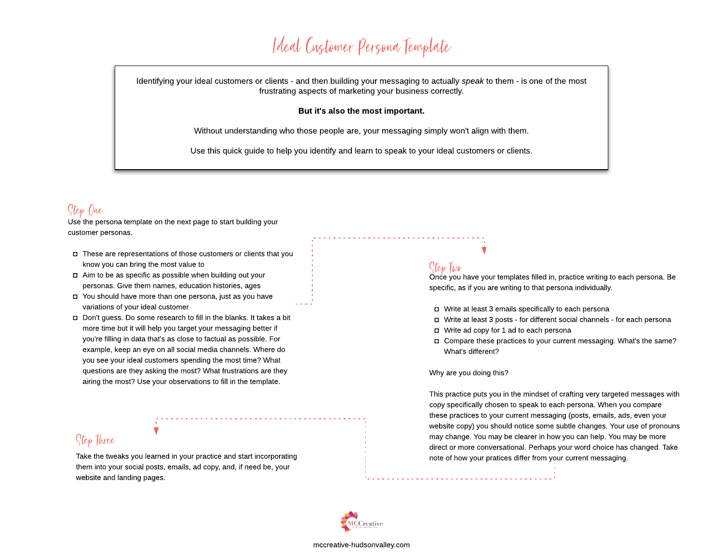# Ideal Customer Persona Template

Identifying your ideal customers or clients - and then building your messaging to actually **speak** to them -is one of the most frustrating aspects of marketing your business correctly.

### But it's also the most important.

Without understanding who those people are, your messaging simply won't align with them.

Use this quick guide to help you identify and learn to speak to your ideal customers or clients.

## Step One

Use the persona template on the next page to start building your customer personas.

- $\square$  These are representations of those customers or clients that you know you can bring the most value to
- $\Box$  Aim to be as specific as possible when building out your personas. Give them names, education histories, ages
- You should have more than one persona, just as you have variations of your ideal customer
- Don't guess. Do some research to fill in the blanks. It takes a bit more time but it will help you target your messaging better if you're filling in data that's as close to factual as possible. For example, keep an eye on all social media channels. Where do you see your ideal customers spending the most time? What questions are they asking the most? What frustrations are they airing the most? Use your observations to fill in the template.

## StepThre

Take the tweaks you learned in your practice and start incorporating and the tweaks you learned in your practices differ from your current messaging. them into your social posts, emails, ad copy, and, if need be, your website and landing pages.

### StepTwo

Once you have your templates filled in, practice writing to each persona. Be specific, as if you are writing to that persona individually.

- Write at least 3 emails specifically to each persona
- Write at least 3 posts for different social channels for each persona
- Write ad copy for 1 ad to each persona
- Compare these practices to your current messaging. What's the same? What's different?

#### Why are you doing this?

This practice puts you in the mindset of crafting very targeted messages with copy specifically chosen to speak to each persona. When you compare these practices to your current messaging (posts, emails, ads, even your website copy) you should notice some subtle changes. Your use of pronouns may change. You may be clearer in how you can help. You may be more direct or more conversational. Perhaps your word choice has changed. Take